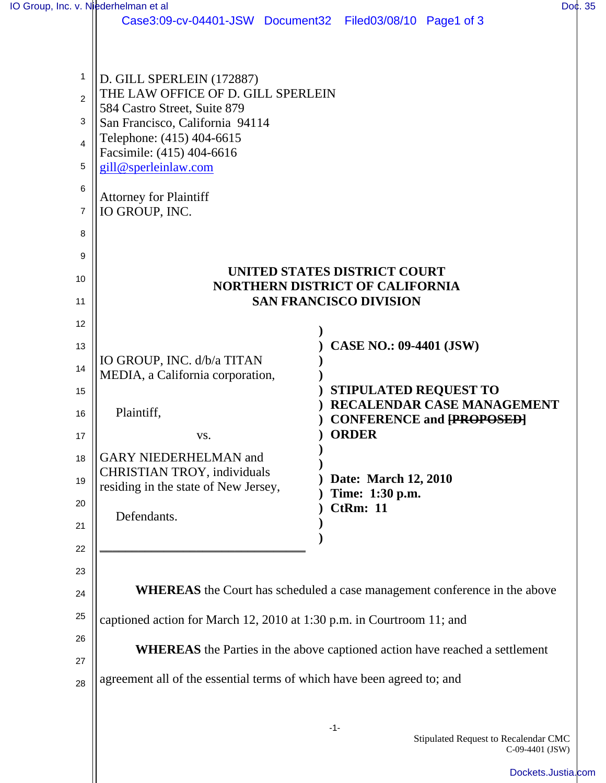| IO Group, Inc. v. Niederhelman et al |                                                                                    |                                                                                  |  | Doc. 35 |
|--------------------------------------|------------------------------------------------------------------------------------|----------------------------------------------------------------------------------|--|---------|
|                                      | Case3:09-cv-04401-JSW Document32 Filed03/08/10 Page1 of 3                          |                                                                                  |  |         |
|                                      |                                                                                    |                                                                                  |  |         |
|                                      |                                                                                    |                                                                                  |  |         |
| 1                                    | D. GILL SPERLEIN (172887)                                                          |                                                                                  |  |         |
| 2                                    | THE LAW OFFICE OF D. GILL SPERLEIN                                                 |                                                                                  |  |         |
| 3                                    | 584 Castro Street, Suite 879<br>San Francisco, California 94114                    |                                                                                  |  |         |
| 4                                    | Telephone: (415) 404-6615                                                          |                                                                                  |  |         |
|                                      | Facsimile: (415) 404-6616                                                          |                                                                                  |  |         |
| 5                                    | gill@sperleinlaw.com                                                               |                                                                                  |  |         |
| 6                                    | <b>Attorney for Plaintiff</b>                                                      |                                                                                  |  |         |
| $\overline{7}$                       | IO GROUP, INC.                                                                     |                                                                                  |  |         |
| 8                                    |                                                                                    |                                                                                  |  |         |
|                                      |                                                                                    |                                                                                  |  |         |
| 9                                    |                                                                                    | <b>UNITED STATES DISTRICT COURT</b>                                              |  |         |
| 10                                   | NORTHERN DISTRICT OF CALIFORNIA                                                    |                                                                                  |  |         |
| 11                                   |                                                                                    | <b>SAN FRANCISCO DIVISION</b>                                                    |  |         |
| 12                                   |                                                                                    |                                                                                  |  |         |
| 13                                   |                                                                                    | <b>CASE NO.: 09-4401 (JSW)</b>                                                   |  |         |
| 14                                   | IO GROUP, INC. d/b/a TITAN                                                         |                                                                                  |  |         |
|                                      | MEDIA, a California corporation,                                                   |                                                                                  |  |         |
| 15                                   |                                                                                    | <b>STIPULATED REQUEST TO</b><br>RECALENDAR CASE MANAGEMENT                       |  |         |
| 16                                   | Plaintiff,                                                                         | <b>CONFERENCE and [PROPOSED]</b>                                                 |  |         |
| 17                                   | VS.                                                                                | <b>ORDER</b>                                                                     |  |         |
| 18                                   | <b>GARY NIEDERHELMAN and</b>                                                       |                                                                                  |  |         |
| 19                                   | <b>CHRISTIAN TROY, individuals</b>                                                 | Date: March 12, 2010                                                             |  |         |
|                                      | residing in the state of New Jersey,                                               | Time: 1:30 p.m.                                                                  |  |         |
| 20                                   | Defendants.                                                                        | <b>CtRm: 11</b>                                                                  |  |         |
| 21                                   |                                                                                    |                                                                                  |  |         |
| 22                                   |                                                                                    |                                                                                  |  |         |
| 23                                   |                                                                                    |                                                                                  |  |         |
| 24                                   |                                                                                    | <b>WHEREAS</b> the Court has scheduled a case management conference in the above |  |         |
| 25                                   | captioned action for March 12, 2010 at 1:30 p.m. in Courtroom 11; and              |                                                                                  |  |         |
| 26                                   |                                                                                    |                                                                                  |  |         |
| 27                                   | <b>WHEREAS</b> the Parties in the above captioned action have reached a settlement |                                                                                  |  |         |
| 28                                   | agreement all of the essential terms of which have been agreed to; and             |                                                                                  |  |         |
|                                      |                                                                                    |                                                                                  |  |         |
|                                      |                                                                                    |                                                                                  |  |         |
|                                      |                                                                                    | $-1-$<br>Stipulated Request to Recalendar CMC                                    |  |         |

C-09-4401 (JSW)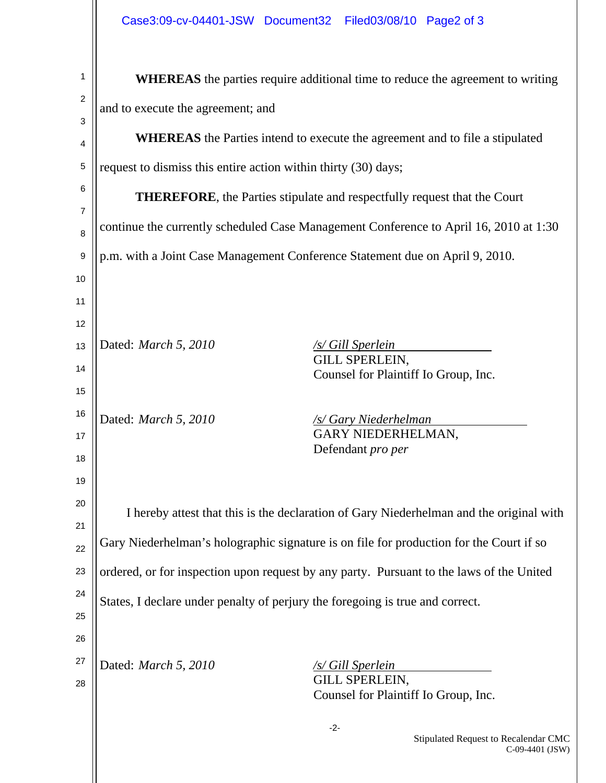| 1              | <b>WHEREAS</b> the parties require additional time to reduce the agreement to writing    |                                                                  |  |  |  |
|----------------|------------------------------------------------------------------------------------------|------------------------------------------------------------------|--|--|--|
| $\overline{2}$ | and to execute the agreement; and                                                        |                                                                  |  |  |  |
| 3<br>4         | <b>WHEREAS</b> the Parties intend to execute the agreement and to file a stipulated      |                                                                  |  |  |  |
| 5              | request to dismiss this entire action within thirty (30) days;                           |                                                                  |  |  |  |
| 6              |                                                                                          |                                                                  |  |  |  |
| $\overline{7}$ | <b>THEREFORE</b> , the Parties stipulate and respectfully request that the Court         |                                                                  |  |  |  |
| 8              | continue the currently scheduled Case Management Conference to April 16, 2010 at 1:30    |                                                                  |  |  |  |
| 9              | p.m. with a Joint Case Management Conference Statement due on April 9, 2010.             |                                                                  |  |  |  |
| 10             |                                                                                          |                                                                  |  |  |  |
| 11             |                                                                                          |                                                                  |  |  |  |
| 12             |                                                                                          |                                                                  |  |  |  |
| 13             | Dated: <i>March 5, 2010</i>                                                              | /s/ Gill Sperlein<br>GILL SPERLEIN,                              |  |  |  |
| 14             |                                                                                          | Counsel for Plaintiff Io Group, Inc.                             |  |  |  |
| 15             |                                                                                          |                                                                  |  |  |  |
| 16             | Dated: March 5, 2010                                                                     | <u>/s/ Gary Niederhelman</u>                                     |  |  |  |
| 17             |                                                                                          | GARY NIEDERHELMAN,<br>Defendant pro per                          |  |  |  |
| 18             |                                                                                          |                                                                  |  |  |  |
| 19             |                                                                                          |                                                                  |  |  |  |
| 20             | I hereby attest that this is the declaration of Gary Niederhelman and the original with  |                                                                  |  |  |  |
| 21             | Gary Niederhelman's holographic signature is on file for production for the Court if so  |                                                                  |  |  |  |
| 22             |                                                                                          |                                                                  |  |  |  |
| 23             | ordered, or for inspection upon request by any party. Pursuant to the laws of the United |                                                                  |  |  |  |
| 24             | States, I declare under penalty of perjury the foregoing is true and correct.            |                                                                  |  |  |  |
| 25             |                                                                                          |                                                                  |  |  |  |
| 26             |                                                                                          |                                                                  |  |  |  |
| 27             | Dated: March 5, 2010                                                                     | /s/ Gill Sperlein<br><b>GILL SPERLEIN,</b>                       |  |  |  |
| 28             |                                                                                          | Counsel for Plaintiff Io Group, Inc.                             |  |  |  |
|                |                                                                                          | $-2-$<br>Stipulated Request to Recalendar CMC<br>C-09-4401 (JSW) |  |  |  |